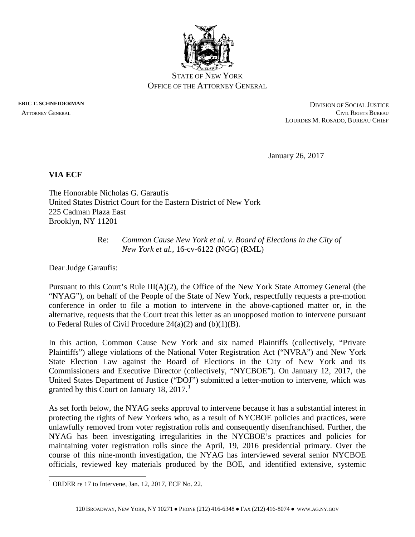

STATE OF NEW YORK OFFICE OF THE ATTORNEY GENERAL

**ERIC T. SCHNEIDERMAN** DIVISION OF SOCIAL JUSTICE ATTORNEY GENERAL CIVIL RIGHTS BUREAU LOURDES M. ROSADO, BUREAU CHIEF

January 26, 2017

# **VIA ECF**

The Honorable Nicholas G. Garaufis United States District Court for the Eastern District of New York 225 Cadman Plaza East Brooklyn, NY 11201

## Re: *Common Cause New York et al. v. Board of Elections in the City of New York et al.,* 16-cv-6122 (NGG) (RML)

Dear Judge Garaufis:

Pursuant to this Court's Rule III(A)(2), the Office of the New York State Attorney General (the "NYAG"), on behalf of the People of the State of New York, respectfully requests a pre-motion conference in order to file a motion to intervene in the above-captioned matter or, in the alternative, requests that the Court treat this letter as an unopposed motion to intervene pursuant to Federal Rules of Civil Procedure 24(a)(2) and (b)(1)(B).

In this action, Common Cause New York and six named Plaintiffs (collectively, "Private Plaintiffs") allege violations of the National Voter Registration Act ("NVRA") and New York State Election Law against the Board of Elections in the City of New York and its Commissioners and Executive Director (collectively, "NYCBOE"). On January 12, 2017, the United States Department of Justice ("DOJ") submitted a letter-motion to intervene, which was granted by this Court on January [1](#page-0-0)8,  $2017<sup>1</sup>$ 

As set forth below, the NYAG seeks approval to intervene because it has a substantial interest in protecting the rights of New Yorkers who, as a result of NYCBOE policies and practices, were unlawfully removed from voter registration rolls and consequently disenfranchised. Further, the NYAG has been investigating irregularities in the NYCBOE's practices and policies for maintaining voter registration rolls since the April, 19, 2016 presidential primary. Over the course of this nine-month investigation, the NYAG has interviewed several senior NYCBOE officials, reviewed key materials produced by the BOE, and identified extensive, systemic

<span id="page-0-0"></span> $1$  ORDER re 17 to Intervene, Jan. 12, 2017, ECF No. 22.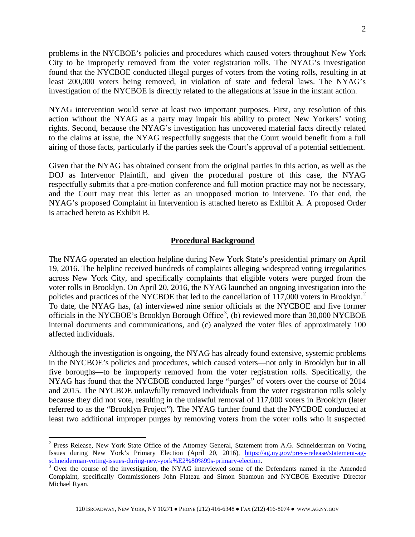problems in the NYCBOE's policies and procedures which caused voters throughout New York City to be improperly removed from the voter registration rolls. The NYAG's investigation found that the NYCBOE conducted illegal purges of voters from the voting rolls, resulting in at least 200,000 voters being removed, in violation of state and federal laws. The NYAG's investigation of the NYCBOE is directly related to the allegations at issue in the instant action.

NYAG intervention would serve at least two important purposes. First, any resolution of this action without the NYAG as a party may impair his ability to protect New Yorkers' voting rights. Second, because the NYAG's investigation has uncovered material facts directly related to the claims at issue, the NYAG respectfully suggests that the Court would benefit from a full airing of those facts, particularly if the parties seek the Court's approval of a potential settlement.

Given that the NYAG has obtained consent from the original parties in this action, as well as the DOJ as Intervenor Plaintiff, and given the procedural posture of this case, the NYAG respectfully submits that a pre-motion conference and full motion practice may not be necessary, and the Court may treat this letter as an unopposed motion to intervene. To that end, the NYAG's proposed Complaint in Intervention is attached hereto as Exhibit A. A proposed Order is attached hereto as Exhibit B.

#### **Procedural Background**

The NYAG operated an election helpline during New York State's presidential primary on April 19, 2016. The helpline received hundreds of complaints alleging widespread voting irregularities across New York City, and specifically complaints that eligible voters were purged from the voter rolls in Brooklyn. On April 20, 2016, the NYAG launched an ongoing investigation into the policies and practices of the NYCBOE that led to the cancellation of 117,000 voters in Brooklyn.<sup>[2](#page-1-0)</sup> To date, the NYAG has, (a) interviewed nine senior officials at the NYCBOE and five former officials in the NYCBOE's Brooklyn Borough Office<sup>[3](#page-1-1)</sup>, (b) reviewed more than 30,000 NYCBOE internal documents and communications, and (c) analyzed the voter files of approximately 100 affected individuals.

Although the investigation is ongoing, the NYAG has already found extensive, systemic problems in the NYCBOE's policies and procedures, which caused voters—not only in Brooklyn but in all five boroughs—to be improperly removed from the voter registration rolls. Specifically, the NYAG has found that the NYCBOE conducted large "purges" of voters over the course of 2014 and 2015. The NYCBOE unlawfully removed individuals from the voter registration rolls solely because they did not vote, resulting in the unlawful removal of 117,000 voters in Brooklyn (later referred to as the "Brooklyn Project"). The NYAG further found that the NYCBOE conducted at least two additional improper purges by removing voters from the voter rolls who it suspected

<span id="page-1-0"></span><sup>&</sup>lt;sup>2</sup> Press Release, New York State Office of the Attorney General, Statement from A.G. Schneiderman on Voting Issues during New York's Primary Election (April 20, 2016), [https://ag.ny.gov/press-release/statement-ag](https://ag.ny.gov/press-release/statement-ag-schneiderman-voting-issues-during-new-york%E2%80%99s-primary-election)[schneiderman-voting-issues-during-new-york%E2%80%99s-primary-election.](https://ag.ny.gov/press-release/statement-ag-schneiderman-voting-issues-during-new-york%E2%80%99s-primary-election)<br><sup>[3](https://ag.ny.gov/press-release/statement-ag-schneiderman-voting-issues-during-new-york%E2%80%99s-primary-election)</sup> Over the course of the investigation, the NYAG interviewed some of the Defendants named in the Amended

<span id="page-1-1"></span>Complaint, specifically Commissioners John Flateau and Simon Shamoun and NYCBOE Executive Director Michael Ryan.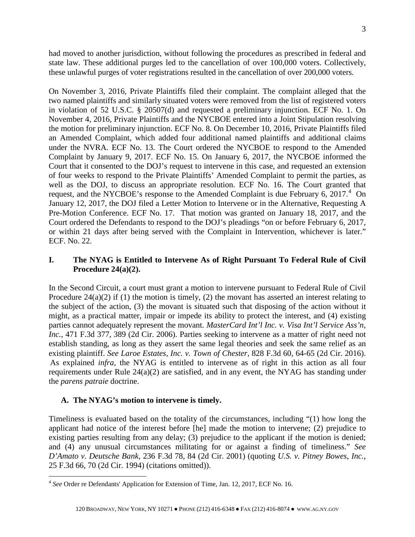had moved to another jurisdiction, without following the procedures as prescribed in federal and state law. These additional purges led to the cancellation of over 100,000 voters. Collectively, these unlawful purges of voter registrations resulted in the cancellation of over 200,000 voters.

On November 3, 2016, Private Plaintiffs filed their complaint. The complaint alleged that the two named plaintiffs and similarly situated voters were removed from the list of registered voters in violation of 52 U.S.C. § 20507(d) and requested a preliminary injunction. ECF No. 1. On November 4, 2016, Private Plaintiffs and the NYCBOE entered into a Joint Stipulation resolving the motion for preliminary injunction. ECF No. 8. On December 10, 2016, Private Plaintiffs filed an Amended Complaint, which added four additional named plaintiffs and additional claims under the NVRA. ECF No. 13. The Court ordered the NYCBOE to respond to the Amended Complaint by January 9, 2017. ECF No. 15. On January 6, 2017, the NYCBOE informed the Court that it consented to the DOJ's request to intervene in this case, and requested an extension of four weeks to respond to the Private Plaintiffs' Amended Complaint to permit the parties, as well as the DOJ, to discuss an appropriate resolution. ECF No. 16. The Court granted that request, and the NYCBOE's response to the Amended Complaint is due February 6, 2017.<sup>[4](#page-2-0)</sup> On January 12, 2017, the DOJ filed a Letter Motion to Intervene or in the Alternative, Requesting A Pre-Motion Conference. ECF No. 17. That motion was granted on January 18, 2017, and the Court ordered the Defendants to respond to the DOJ's pleadings "on or before February 6, 2017, or within 21 days after being served with the Complaint in Intervention, whichever is later." ECF. No. 22.

# **I. The NYAG is Entitled to Intervene As of Right Pursuant To Federal Rule of Civil Procedure 24(a)(2).**

In the Second Circuit, a court must grant a motion to intervene pursuant to Federal Rule of Civil Procedure 24(a)(2) if (1) the motion is timely, (2) the movant has asserted an interest relating to the subject of the action, (3) the movant is situated such that disposing of the action without it might, as a practical matter, impair or impede its ability to protect the interest, and (4) existing parties cannot adequately represent the movant. *MasterCard Int'l Inc. v. Visa Int'l Service Ass'n, Inc.*, 471 F.3d 377, 389 (2d Cir. 2006). Parties seeking to intervene as a matter of right need not establish standing, as long as they assert the same legal theories and seek the same relief as an existing plaintiff. *See Laroe Estates, Inc. v. Town of Chester*, 828 F.3d 60, 64-65 (2d Cir. 2016). As explained *infra*, the NYAG is entitled to intervene as of right in this action as all four requirements under Rule 24(a)(2) are satisfied, and in any event, the NYAG has standing under the *parens patraie* doctrine.

### **A. The NYAG's motion to intervene is timely.**

Timeliness is evaluated based on the totality of the circumstances, including "(1) how long the applicant had notice of the interest before [he] made the motion to intervene; (2) prejudice to existing parties resulting from any delay; (3) prejudice to the applicant if the motion is denied; and (4) any unusual circumstances militating for or against a finding of timeliness." *See D'Amato v. Deutsche Bank*, 236 F.3d 78, 84 (2d Cir. 2001) (quoting *U.S. v. Pitney Bowes, Inc.*, 25 F.3d 66, 70 (2d Cir. 1994) (citations omitted)).

<span id="page-2-0"></span> <sup>4</sup> *See* Order re Defendants' Application for Extension of Time, Jan. 12, 2017, ECF No. 16.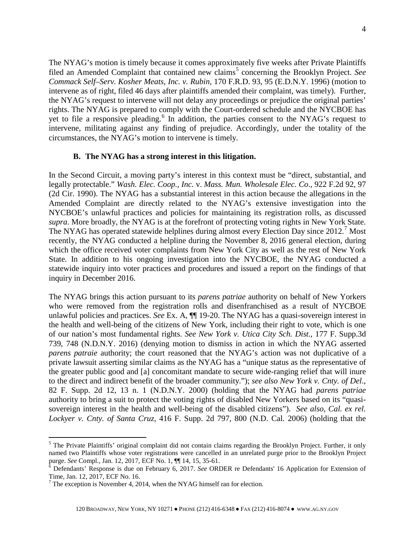The NYAG's motion is timely because it comes approximately five weeks after Private Plaintiffs filed an Amended Complaint that contained new claims<sup>[5](#page-3-0)</sup> concerning the Brooklyn Project. *See Commack Self–Serv. Kosher Meats, Inc. v. Rubin,* 170 F.R.D. 93, 95 (E.D.N.Y. 1996) (motion to intervene as of right, filed 46 days after plaintiffs amended their complaint, was timely). Further, the NYAG's request to intervene will not delay any proceedings or prejudice the original parties' rights. The NYAG is prepared to comply with the Court-ordered schedule and the NYCBOE has yet to file a responsive pleading.<sup>[6](#page-3-1)</sup> In addition, the parties consent to the NYAG's request to intervene, militating against any finding of prejudice. Accordingly, under the totality of the circumstances, the NYAG's motion to intervene is timely.

#### **B. The NYAG has a strong interest in this litigation.**

In the Second Circuit, a moving party's interest in this context must be "direct, substantial, and legally protectable." *Wash. Elec. Coop., Inc.* v. *Mass. Mun. Wholesale Elec. Co*., 922 F.2d 92, 97 (2d Cir. 1990). The NYAG has a substantial interest in this action because the allegations in the Amended Complaint are directly related to the NYAG's extensive investigation into the NYCBOE's unlawful practices and policies for maintaining its registration rolls, as discussed *supra*. More broadly, the NYAG is at the forefront of protecting voting rights in New York State. The NYAG has operated statewide helplines during almost every Election Day since 2012.<sup>[7](#page-3-2)</sup> Most recently, the NYAG conducted a helpline during the November 8, 2016 general election, during which the office received voter complaints from New York City as well as the rest of New York State. In addition to his ongoing investigation into the NYCBOE, the NYAG conducted a statewide inquiry into voter practices and procedures and issued a report on the findings of that inquiry in December 2016.

The NYAG brings this action pursuant to its *parens patriae* authority on behalf of New Yorkers who were removed from the registration rolls and disenfranchised as a result of NYCBOE unlawful policies and practices. *See* Ex. A, ¶¶ 19-20. The NYAG has a quasi-sovereign interest in the health and well-being of the citizens of New York, including their right to vote, which is one of our nation's most fundamental rights. *See New York v. Utica City Sch. Dist.*, 177 F. Supp.3d 739, 748 (N.D.N.Y. 2016) (denying motion to dismiss in action in which the NYAG asserted *parens patraie* authority; the court reasoned that the NYAG's action was not duplicative of a private lawsuit asserting similar claims as the NYAG has a "unique status as the representative of the greater public good and [a] concomitant mandate to secure wide-ranging relief that will inure to the direct and indirect benefit of the broader community."); *see also New York v. Cnty. of Del*., 82 F. Supp. 2d 12, 13 n. 1 (N.D.N.Y. 2000) (holding that the NYAG had *parens patriae*  authority to bring a suit to protect the voting rights of disabled New Yorkers based on its "quasisovereign interest in the health and well-being of the disabled citizens"). *See also*, *Cal. ex rel. Lockyer v. Cnty. of Santa Cruz,* 416 F. Supp. 2d 797, 800 (N.D. Cal. 2006) (holding that the

<span id="page-3-0"></span><sup>&</sup>lt;sup>5</sup> The Private Plaintiffs' original complaint did not contain claims regarding the Brooklyn Project. Further, it only named two Plaintiffs whose voter registrations were cancelled in an unrelated purge prior to the Brooklyn Project

<span id="page-3-1"></span>purge. *See* Compl., Jan. 12, 2017, ECF No. 1,  $\P$  14, 15, 35-61.<br>
<sup>6</sup> Defendants' Response is due on February 6, 2017. *See* ORDER re Defendants' 16 Application for Extension of Time, Jan. 12, 2017, ECF No. 16.

<span id="page-3-2"></span> $<sup>7</sup>$  The exception is November 4, 2014, when the NYAG himself ran for election.</sup>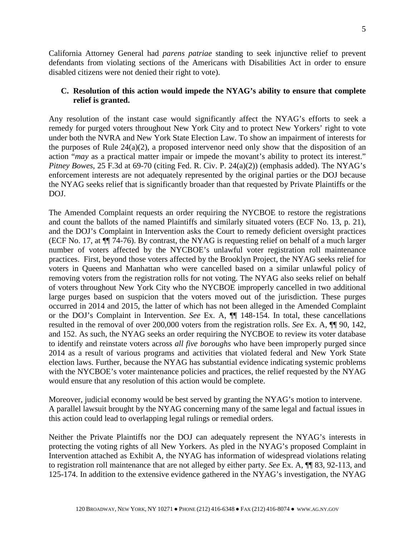California Attorney General had *parens patriae* standing to seek injunctive relief to prevent defendants from violating sections of the Americans with Disabilities Act in order to ensure disabled citizens were not denied their right to vote).

## **C. Resolution of this action would impede the NYAG's ability to ensure that complete relief is granted.**

Any resolution of the instant case would significantly affect the NYAG's efforts to seek a remedy for purged voters throughout New York City and to protect New Yorkers' right to vote under both the NVRA and New York State Election Law. To show an impairment of interests for the purposes of Rule  $24(a)(2)$ , a proposed intervenor need only show that the disposition of an action "*may* as a practical matter impair or impede the movant's ability to protect its interest." *Pitney Bowes*, 25 F.3d at 69-70 (citing Fed. R. Civ. P. 24(a)(2)) (emphasis added). The NYAG's enforcement interests are not adequately represented by the original parties or the DOJ because the NYAG seeks relief that is significantly broader than that requested by Private Plaintiffs or the DOJ.

The Amended Complaint requests an order requiring the NYCBOE to restore the registrations and count the ballots of the named Plaintiffs and similarly situated voters (ECF No. 13, p. 21), and the DOJ's Complaint in Intervention asks the Court to remedy deficient oversight practices (ECF No. 17, at ¶¶ 74-76). By contrast, the NYAG is requesting relief on behalf of a much larger number of voters affected by the NYCBOE's unlawful voter registration roll maintenance practices. First, beyond those voters affected by the Brooklyn Project, the NYAG seeks relief for voters in Queens and Manhattan who were cancelled based on a similar unlawful policy of removing voters from the registration rolls for not voting. The NYAG also seeks relief on behalf of voters throughout New York City who the NYCBOE improperly cancelled in two additional large purges based on suspicion that the voters moved out of the jurisdiction. These purges occurred in 2014 and 2015, the latter of which has not been alleged in the Amended Complaint or the DOJ's Complaint in Intervention. *See* Ex. A, ¶¶ 148-154. In total, these cancellations resulted in the removal of over 200,000 voters from the registration rolls. *See* Ex. A, ¶¶ 90, 142, and 152. As such, the NYAG seeks an order requiring the NYCBOE to review its voter database to identify and reinstate voters across *all five boroughs* who have been improperly purged since 2014 as a result of various programs and activities that violated federal and New York State election laws. Further, because the NYAG has substantial evidence indicating systemic problems with the NYCBOE's voter maintenance policies and practices, the relief requested by the NYAG would ensure that any resolution of this action would be complete.

Moreover, judicial economy would be best served by granting the NYAG's motion to intervene. A parallel lawsuit brought by the NYAG concerning many of the same legal and factual issues in this action could lead to overlapping legal rulings or remedial orders.

Neither the Private Plaintiffs nor the DOJ can adequately represent the NYAG's interests in protecting the voting rights of all New Yorkers. As pled in the NYAG's proposed Complaint in Intervention attached as Exhibit A, the NYAG has information of widespread violations relating to registration roll maintenance that are not alleged by either party. *See* Ex. A, ¶¶ 83, 92-113, and 125-174. In addition to the extensive evidence gathered in the NYAG's investigation, the NYAG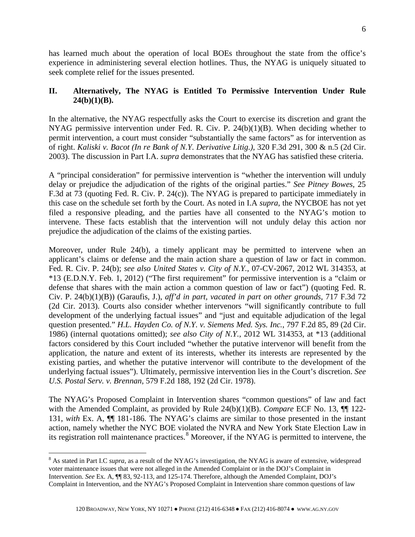has learned much about the operation of local BOEs throughout the state from the office's experience in administering several election hotlines. Thus, the NYAG is uniquely situated to seek complete relief for the issues presented.

# **II. Alternatively, The NYAG is Entitled To Permissive Intervention Under Rule 24(b)(1)(B).**

In the alternative, the NYAG respectfully asks the Court to exercise its discretion and grant the NYAG permissive intervention under Fed. R. Civ. P. 24(b)(1)(B). When deciding whether to permit intervention, a court must consider "substantially the same factors" as for intervention as of right. *Kaliski v. Bacot (In re Bank of N.Y. Derivative Litig.)*, 320 F.3d 291, 300 & n.5 (2d Cir. 2003). The discussion in Part I.A. *supra* demonstrates that the NYAG has satisfied these criteria.

A "principal consideration" for permissive intervention is "whether the intervention will unduly delay or prejudice the adjudication of the rights of the original parties." *See Pitney Bowes,* 25 F.3d at 73 (quoting Fed. R. Civ. P. 24(c)). The NYAG is prepared to participate immediately in this case on the schedule set forth by the Court. As noted in I.A *supra*, the NYCBOE has not yet filed a responsive pleading, and the parties have all consented to the NYAG's motion to intervene. These facts establish that the intervention will not unduly delay this action nor prejudice the adjudication of the claims of the existing parties.

Moreover, under Rule 24(b), a timely applicant may be permitted to intervene when an applicant's claims or defense and the main action share a question of law or fact in common. Fed. R. Civ. P. 24(b); *see also United States v. City of N.Y.*, 07-CV-2067, 2012 WL 314353, at \*13 (E.D.N.Y. Feb. 1, 2012) ("The first requirement" for permissive intervention is a "claim or defense that shares with the main action a common question of law or fact") (quoting Fed. R. Civ. P. 24(b)(1)(B)) (Garaufis, J.), *aff'd in part, vacated in part on other grounds*, 717 F.3d 72 (2d Cir. 2013). Courts also consider whether intervenors "will significantly contribute to full development of the underlying factual issues" and "just and equitable adjudication of the legal question presented." *H.L. Hayden Co. of N.Y. v. Siemens Med. Sys. Inc.*, 797 F.2d 85, 89 (2d Cir. 1986) (internal quotations omitted); *see also City of N.Y.*, 2012 WL 314353, at \*13 (additional factors considered by this Court included "whether the putative intervenor will benefit from the application, the nature and extent of its interests, whether its interests are represented by the existing parties, and whether the putative intervenor will contribute to the development of the underlying factual issues"). Ultimately, permissive intervention lies in the Court's discretion. *See U.S. Postal Serv. v. Brennan*, 579 F.2d 188, 192 (2d Cir. 1978).

The NYAG's Proposed Complaint in Intervention shares "common questions" of law and fact with the Amended Complaint, as provided by Rule 24(b)(1)(B). *Compare* ECF No. 13,  $\P$  122-131, *with* Ex. A, ¶¶ 181-186. The NYAG's claims are similar to those presented in the instant action, namely whether the NYC BOE violated the NVRA and New York State Election Law in its registration roll maintenance practices.<sup>[8](#page-5-0)</sup> Moreover, if the NYAG is permitted to intervene, the

<span id="page-5-0"></span> <sup>8</sup> As stated in Part I.C *supra*, as a result of the NYAG's investigation, the NYAG is aware of extensive, widespread voter maintenance issues that were not alleged in the Amended Complaint or in the DOJ's Complaint in Intervention. *See* Ex. A, ¶¶ 83, 92-113, and 125-174. Therefore, although the Amended Complaint, DOJ's Complaint in Intervention, and the NYAG's Proposed Complaint in Intervention share common questions of law